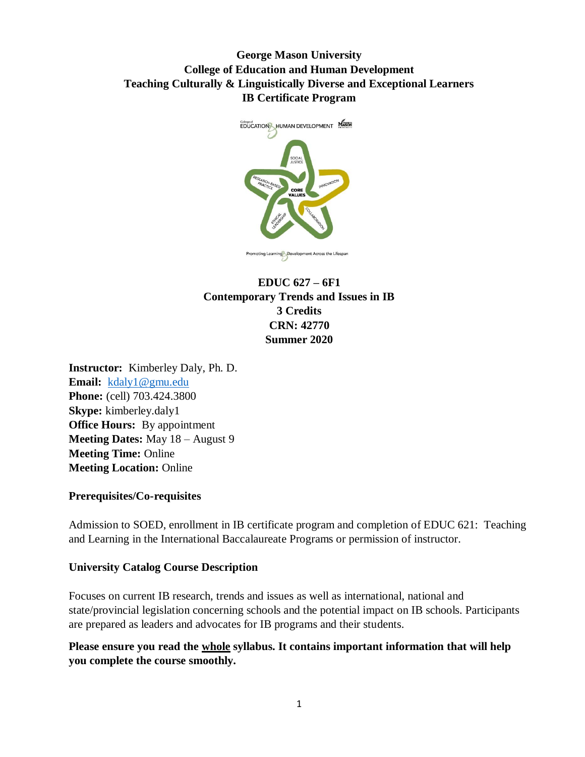# **George Mason University College of Education and Human Development Teaching Culturally & Linguistically Diverse and Exceptional Learners IB Certificate Program**



# **EDUC 627 – 6F1 Contemporary Trends and Issues in IB 3 Credits CRN: 42770 Summer 2020**

**Instructor:** Kimberley Daly, Ph. D. **Email:** [kdaly1@gmu.edu](mailto:kdaly1@gmu.edu) **Phone:** (cell) 703.424.3800 **Skype:** kimberley.daly1 **Office Hours:** By appointment **Meeting Dates:** May 18 – August 9 **Meeting Time:** Online **Meeting Location:** Online

#### **Prerequisites/Co-requisites**

Admission to SOED, enrollment in IB certificate program and completion of EDUC 621: Teaching and Learning in the International Baccalaureate Programs or permission of instructor.

#### **University Catalog Course Description**

Focuses on current IB research, trends and issues as well as international, national and state/provincial legislation concerning schools and the potential impact on IB schools. Participants are prepared as leaders and advocates for IB programs and their students.

**Please ensure you read the whole syllabus. It contains important information that will help you complete the course smoothly.**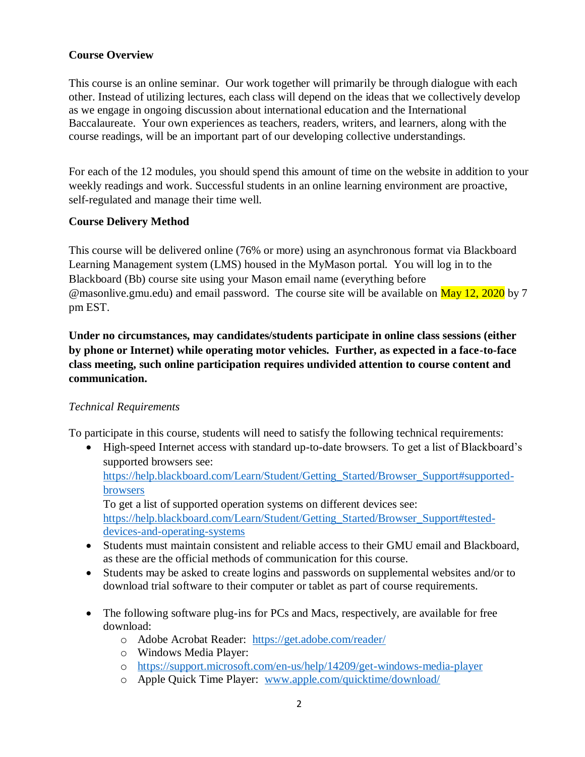## **Course Overview**

This course is an online seminar. Our work together will primarily be through dialogue with each other. Instead of utilizing lectures, each class will depend on the ideas that we collectively develop as we engage in ongoing discussion about international education and the International Baccalaureate. Your own experiences as teachers, readers, writers, and learners, along with the course readings, will be an important part of our developing collective understandings.

For each of the 12 modules, you should spend this amount of time on the website in addition to your weekly readings and work. Successful students in an online learning environment are proactive, self-regulated and manage their time well.

#### **Course Delivery Method**

This course will be delivered online (76% or more) using an asynchronous format via Blackboard Learning Management system (LMS) housed in the MyMason portal. You will log in to the Blackboard (Bb) course site using your Mason email name (everything before @masonlive.gmu.edu) and email password. The course site will be available on May 12, 2020 by 7 pm EST.

**Under no circumstances, may candidates/students participate in online class sessions (either by phone or Internet) while operating motor vehicles. Further, as expected in a face-to-face class meeting, such online participation requires undivided attention to course content and communication.**

## *Technical Requirements*

To participate in this course, students will need to satisfy the following technical requirements:

• High-speed Internet access with standard up-to-date browsers. To get a list of Blackboard's supported browsers see:

[https://help.blackboard.com/Learn/Student/Getting\\_Started/Browser\\_Support#supported](https://help.blackboard.com/Learn/Student/Getting_Started/Browser_Support#supported-browsers)[browsers](https://help.blackboard.com/Learn/Student/Getting_Started/Browser_Support#supported-browsers)

To get a list of supported operation systems on different devices see: [https://help.blackboard.com/Learn/Student/Getting\\_Started/Browser\\_Support#tested](https://help.blackboard.com/Learn/Student/Getting_Started/Browser_Support#tested-devices-and-operating-systems)[devices-and-operating-systems](https://help.blackboard.com/Learn/Student/Getting_Started/Browser_Support#tested-devices-and-operating-systems)

- Students must maintain consistent and reliable access to their GMU email and Blackboard, as these are the official methods of communication for this course.
- Students may be asked to create logins and passwords on supplemental websites and/or to download trial software to their computer or tablet as part of course requirements.
- The following software plug-ins for PCs and Macs, respectively, are available for free download:
	- o Adobe Acrobat Reader: <https://get.adobe.com/reader/>
	- o Windows Media Player:
	- o <https://support.microsoft.com/en-us/help/14209/get-windows-media-player>
	- o Apple Quick Time Player: [www.apple.com/quicktime/download/](http://www.apple.com/quicktime/download/)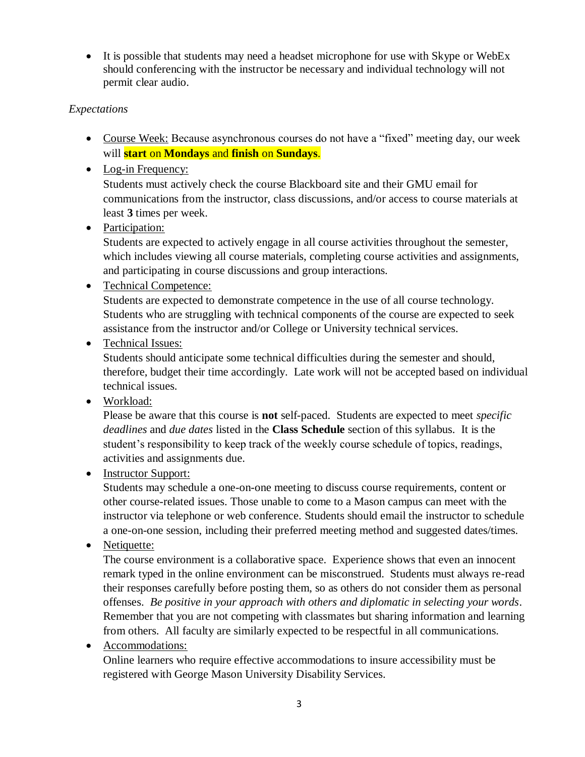• It is possible that students may need a headset microphone for use with Skype or WebEx should conferencing with the instructor be necessary and individual technology will not permit clear audio.

# *Expectations*

- Course Week: Because asynchronous courses do not have a "fixed" meeting day, our week will **start** on **Mondays** and **finish** on **Sundays**.
- Log-in Frequency:

Students must actively check the course Blackboard site and their GMU email for communications from the instructor, class discussions, and/or access to course materials at least **3** times per week.

• Participation:

Students are expected to actively engage in all course activities throughout the semester, which includes viewing all course materials, completing course activities and assignments, and participating in course discussions and group interactions.

• Technical Competence:

Students are expected to demonstrate competence in the use of all course technology. Students who are struggling with technical components of the course are expected to seek assistance from the instructor and/or College or University technical services.

• Technical Issues:

Students should anticipate some technical difficulties during the semester and should, therefore, budget their time accordingly. Late work will not be accepted based on individual technical issues.

• Workload:

Please be aware that this course is **not** self-paced. Students are expected to meet *specific deadlines* and *due dates* listed in the **Class Schedule** section of this syllabus. It is the student's responsibility to keep track of the weekly course schedule of topics, readings, activities and assignments due.

• Instructor Support:

Students may schedule a one-on-one meeting to discuss course requirements, content or other course-related issues. Those unable to come to a Mason campus can meet with the instructor via telephone or web conference. Students should email the instructor to schedule a one-on-one session, including their preferred meeting method and suggested dates/times.

• Netiquette:

The course environment is a collaborative space. Experience shows that even an innocent remark typed in the online environment can be misconstrued. Students must always re-read their responses carefully before posting them, so as others do not consider them as personal offenses. *Be positive in your approach with others and diplomatic in selecting your words*. Remember that you are not competing with classmates but sharing information and learning from others. All faculty are similarly expected to be respectful in all communications.

• Accommodations:

Online learners who require effective accommodations to insure accessibility must be registered with George Mason University Disability Services.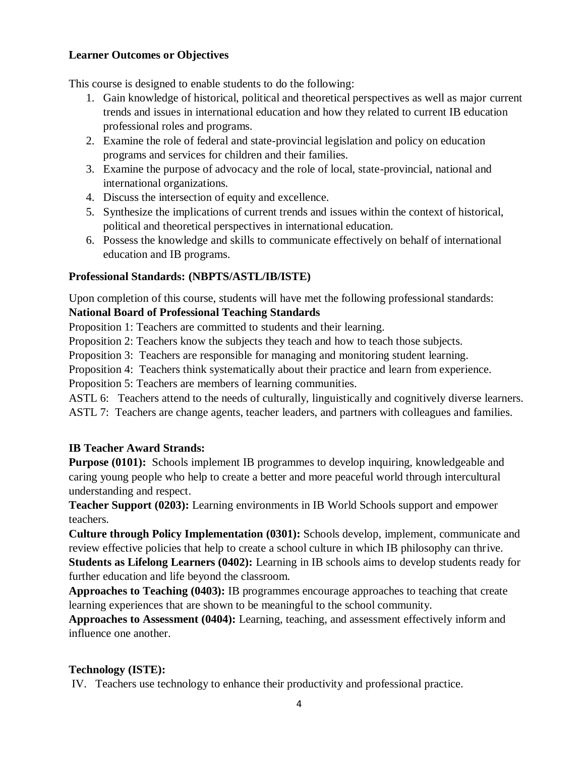## **Learner Outcomes or Objectives**

This course is designed to enable students to do the following:

- 1. Gain knowledge of historical, political and theoretical perspectives as well as major current trends and issues in international education and how they related to current IB education professional roles and programs.
- 2. Examine the role of federal and state-provincial legislation and policy on education programs and services for children and their families.
- 3. Examine the purpose of advocacy and the role of local, state-provincial, national and international organizations.
- 4. Discuss the intersection of equity and excellence.
- 5. Synthesize the implications of current trends and issues within the context of historical, political and theoretical perspectives in international education.
- 6. Possess the knowledge and skills to communicate effectively on behalf of international education and IB programs.

## **Professional Standards: (NBPTS/ASTL/IB/ISTE)**

Upon completion of this course, students will have met the following professional standards: **National Board of Professional Teaching Standards**

Proposition 1: Teachers are committed to students and their learning.

Proposition 2: Teachers know the subjects they teach and how to teach those subjects.

Proposition 3: Teachers are responsible for managing and monitoring student learning.

Proposition 4: Teachers think systematically about their practice and learn from experience.

Proposition 5: Teachers are members of learning communities.

ASTL 6: Teachers attend to the needs of culturally, linguistically and cognitively diverse learners. ASTL 7: Teachers are change agents, teacher leaders, and partners with colleagues and families.

## **IB Teacher Award Strands:**

**Purpose (0101):** Schools implement IB programmes to develop inquiring, knowledgeable and caring young people who help to create a better and more peaceful world through intercultural understanding and respect.

**Teacher Support (0203):** Learning environments in IB World Schools support and empower teachers.

**Culture through Policy Implementation (0301):** Schools develop, implement, communicate and review effective policies that help to create a school culture in which IB philosophy can thrive. **Students as Lifelong Learners (0402):** Learning in IB schools aims to develop students ready for further education and life beyond the classroom.

**Approaches to Teaching (0403):** IB programmes encourage approaches to teaching that create learning experiences that are shown to be meaningful to the school community.

**Approaches to Assessment (0404):** Learning, teaching, and assessment effectively inform and influence one another.

## **Technology (ISTE):**

IV. Teachers use technology to enhance their productivity and professional practice.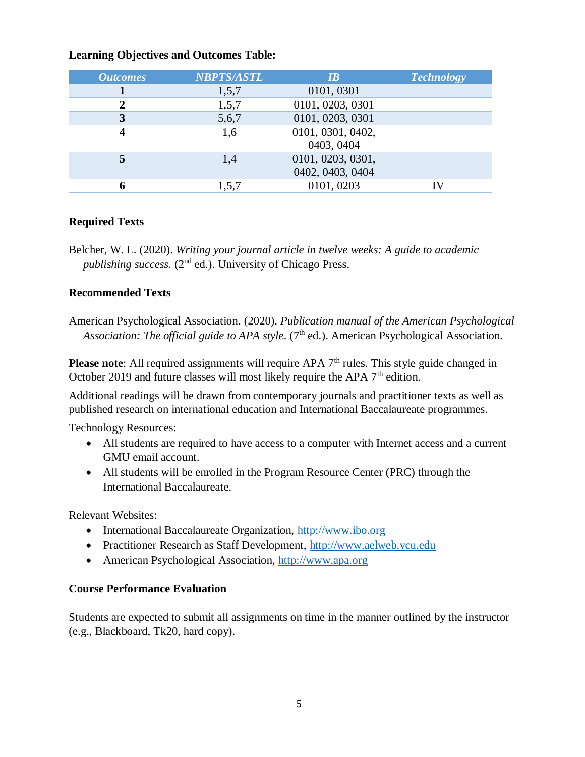#### **Learning Objectives and Outcomes Table:**

| <b>Outcomes</b> | <b>NBPTS/ASTL</b> | IB                                    | <b>Technology</b> |
|-----------------|-------------------|---------------------------------------|-------------------|
|                 | 1,5,7             | 0101, 0301                            |                   |
|                 | 1,5,7             | 0101, 0203, 0301                      |                   |
|                 | 5,6,7             | 0101, 0203, 0301                      |                   |
|                 | 1,6               | 0101, 0301, 0402,<br>0403, 0404       |                   |
|                 | 1,4               | 0101, 0203, 0301,<br>0402, 0403, 0404 |                   |
|                 | 1,5,7             | 0101, 0203                            |                   |

## **Required Texts**

Belcher, W. L. (2020). *Writing your journal article in twelve weeks: A guide to academic*  publishing success. (2<sup>nd</sup> ed.). University of Chicago Press.

## **Recommended Texts**

American Psychological Association. (2020). *Publication manual of the American Psychological*  Association: The official guide to APA style. (7<sup>th</sup> ed.). American Psychological Association.

**Please note:** All required assignments will require APA 7<sup>th</sup> rules. This style guide changed in October 2019 and future classes will most likely require the APA  $7<sup>th</sup>$  edition.

Additional readings will be drawn from contemporary journals and practitioner texts as well as published research on international education and International Baccalaureate programmes.

Technology Resources:

- All students are required to have access to a computer with Internet access and a current GMU email account.
- All students will be enrolled in the Program Resource Center (PRC) through the International Baccalaureate.

Relevant Websites:

- International Baccalaureate Organization, [http://www.ibo.org](http://www.ibo.org/)
- Practitioner Research as Staff Development, [http://www.aelweb.vcu.edu](http://www.aelweb.vcu.edu/)
- American Psychological Association, [http://www.apa.org](http://www.apa.org/)

## **Course Performance Evaluation**

Students are expected to submit all assignments on time in the manner outlined by the instructor (e.g., Blackboard, Tk20, hard copy).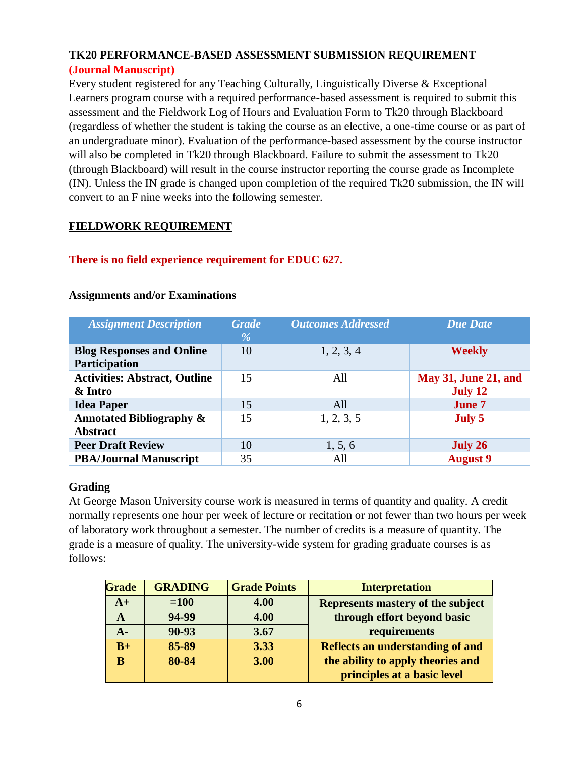# **TK20 PERFORMANCE-BASED ASSESSMENT SUBMISSION REQUIREMENT (Journal Manuscript)**

Every student registered for any Teaching Culturally, Linguistically Diverse & Exceptional Learners program course with a required performance-based assessment is required to submit this assessment and the Fieldwork Log of Hours and Evaluation Form to Tk20 through Blackboard (regardless of whether the student is taking the course as an elective, a one-time course or as part of an undergraduate minor). Evaluation of the performance-based assessment by the course instructor will also be completed in Tk20 through Blackboard. Failure to submit the assessment to Tk20 (through Blackboard) will result in the course instructor reporting the course grade as Incomplete (IN). Unless the IN grade is changed upon completion of the required Tk20 submission, the IN will convert to an F nine weeks into the following semester.

#### **FIELDWORK REQUIREMENT**

## **There is no field experience requirement for EDUC 627.**

| <b>Assignment Description</b>                          | <b>Grade</b><br>% | <b>Outcomes Addressed</b> | <b>Due Date</b>                        |
|--------------------------------------------------------|-------------------|---------------------------|----------------------------------------|
| <b>Blog Responses and Online</b><br>Participation      | 10                | 1, 2, 3, 4                | <b>Weekly</b>                          |
| <b>Activities: Abstract, Outline</b><br>& Intro        | 15                | All                       | <b>May 31, June 21, and</b><br>July 12 |
| <b>Idea Paper</b>                                      | 15                | All                       | <b>June 7</b>                          |
| <b>Annotated Bibliography &amp;</b><br><b>Abstract</b> | 15                | 1, 2, 3, 5                | July 5                                 |
| <b>Peer Draft Review</b>                               | 10                | 1, 5, 6                   | July 26                                |
| <b>PBA/Journal Manuscript</b>                          | 35                | All                       | <b>August 9</b>                        |

#### **Assignments and/or Examinations**

## **Grading**

At George Mason University course work is measured in terms of quantity and quality. A credit normally represents one hour per week of lecture or recitation or not fewer than two hours per week of laboratory work throughout a semester. The number of credits is a measure of quantity. The grade is a measure of quality. The university-wide system for grading graduate courses is as follows:

| <b>Grade</b> | <b>GRADING</b> | <b>Grade Points</b> | <b>Interpretation</b>                    |
|--------------|----------------|---------------------|------------------------------------------|
| $A+$         | $=100$         | 4.00                | <b>Represents mastery of the subject</b> |
| A            | 94-99          | 4.00                | through effort beyond basic              |
| $A -$        | $90 - 93$      | 3.67                | requirements                             |
| $B+$         | 85-89          | 3.33                | <b>Reflects an understanding of and</b>  |
| B            | 80-84          | 3.00                | the ability to apply theories and        |
|              |                |                     | principles at a basic level              |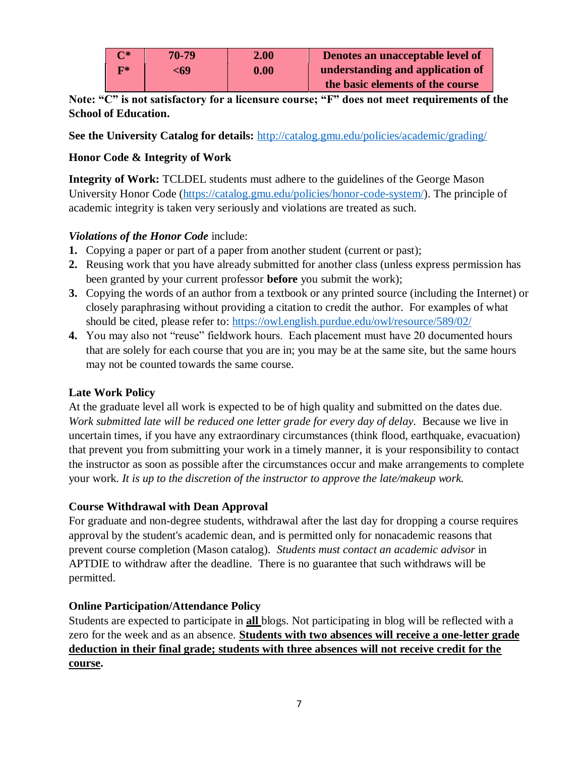| $\Gamma^*$     | $70 - 79$ | 2.00 | Denotes an unacceptable level of |
|----------------|-----------|------|----------------------------------|
| $\mathbf{F}^*$ | <69       | 0.00 | understanding and application of |
|                |           |      | the basic elements of the course |

**Note: "C" is not satisfactory for a licensure course; "F" does not meet requirements of the School of Education.**

**See the University Catalog for details:** <http://catalog.gmu.edu/policies/academic/grading/>

## **Honor Code & Integrity of Work**

**Integrity of Work:** TCLDEL students must adhere to the guidelines of the George Mason University Honor Code [\(https://catalog.gmu.edu/policies/honor-code-system/\)](https://catalog.gmu.edu/policies/honor-code-system/). The principle of academic integrity is taken very seriously and violations are treated as such.

#### *Violations of the Honor Code* include:

- **1.** Copying a paper or part of a paper from another student (current or past);
- **2.** Reusing work that you have already submitted for another class (unless express permission has been granted by your current professor **before** you submit the work);
- **3.** Copying the words of an author from a textbook or any printed source (including the Internet) or closely paraphrasing without providing a citation to credit the author. For examples of what should be cited, please refer to:<https://owl.english.purdue.edu/owl/resource/589/02/>
- **4.** You may also not "reuse" fieldwork hours. Each placement must have 20 documented hours that are solely for each course that you are in; you may be at the same site, but the same hours may not be counted towards the same course.

## **Late Work Policy**

At the graduate level all work is expected to be of high quality and submitted on the dates due. *Work submitted late will be reduced one letter grade for every day of delay.*Because we live in uncertain times, if you have any extraordinary circumstances (think flood, earthquake, evacuation) that prevent you from submitting your work in a timely manner, it is your responsibility to contact the instructor as soon as possible after the circumstances occur and make arrangements to complete your work. *It is up to the discretion of the instructor to approve the late/makeup work.*

#### **Course Withdrawal with Dean Approval**

For graduate and non-degree students, withdrawal after the last day for dropping a course requires approval by the student's academic dean, and is permitted only for nonacademic reasons that prevent course completion (Mason catalog). *Students must contact an academic advisor* in APTDIE to withdraw after the deadline. There is no guarantee that such withdraws will be permitted.

#### **Online Participation/Attendance Policy**

Students are expected to participate in **all** blogs. Not participating in blog will be reflected with a zero for the week and as an absence. **Students with two absences will receive a one-letter grade deduction in their final grade; students with three absences will not receive credit for the course.**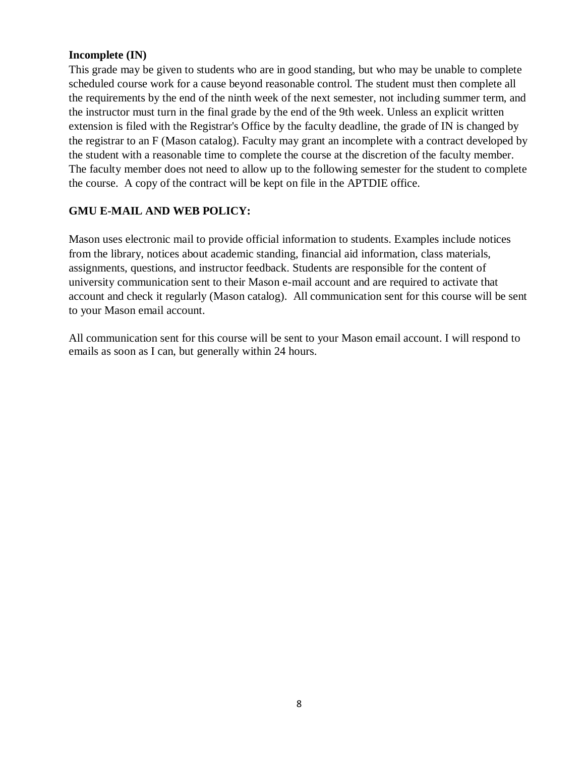#### **Incomplete (IN)**

This grade may be given to students who are in good standing, but who may be unable to complete scheduled course work for a cause beyond reasonable control. The student must then complete all the requirements by the end of the ninth week of the next semester, not including summer term, and the instructor must turn in the final grade by the end of the 9th week. Unless an explicit written extension is filed with the Registrar's Office by the faculty deadline, the grade of IN is changed by the registrar to an F (Mason catalog). Faculty may grant an incomplete with a contract developed by the student with a reasonable time to complete the course at the discretion of the faculty member. The faculty member does not need to allow up to the following semester for the student to complete the course. A copy of the contract will be kept on file in the APTDIE office.

## **GMU E-MAIL AND WEB POLICY:**

Mason uses electronic mail to provide official information to students. Examples include notices from the library, notices about academic standing, financial aid information, class materials, assignments, questions, and instructor feedback. Students are responsible for the content of university communication sent to their Mason e-mail account and are required to activate that account and check it regularly (Mason catalog). All communication sent for this course will be sent to your Mason email account.

All communication sent for this course will be sent to your Mason email account. I will respond to emails as soon as I can, but generally within 24 hours.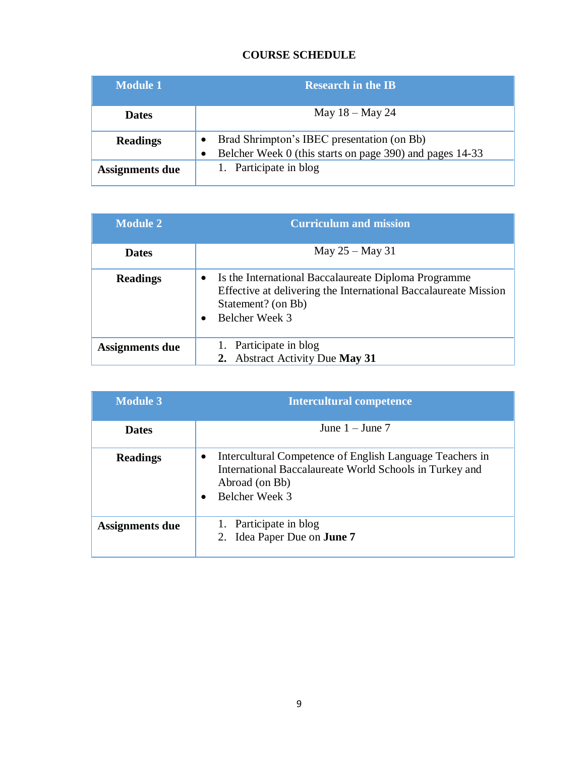# **COURSE SCHEDULE**

| Module 1               | <b>Research in the IB</b>                                                                                           |
|------------------------|---------------------------------------------------------------------------------------------------------------------|
| <b>Dates</b>           | May $18 -$ May 24                                                                                                   |
| <b>Readings</b>        | Brad Shrimpton's IBEC presentation (on Bb)<br>Belcher Week 0 (this starts on page 390) and pages 14-33<br>$\bullet$ |
| <b>Assignments due</b> | 1. Participate in blog                                                                                              |

| <b>Module 2</b> | <b>Curriculum and mission</b>                                                                                                                                                |
|-----------------|------------------------------------------------------------------------------------------------------------------------------------------------------------------------------|
| <b>Dates</b>    | May $25 -$ May 31                                                                                                                                                            |
| <b>Readings</b> | Is the International Baccalaureate Diploma Programme<br>$\bullet$<br>Effective at delivering the International Baccalaureate Mission<br>Statement? (on Bb)<br>Belcher Week 3 |
| Assignments due | 1. Participate in blog<br><b>Abstract Activity Due May 31</b>                                                                                                                |

| <b>Module 3</b>        | <b>Intercultural competence</b>                                                                                                                         |  |
|------------------------|---------------------------------------------------------------------------------------------------------------------------------------------------------|--|
| <b>Dates</b>           | June $1 -$ June $7$                                                                                                                                     |  |
| <b>Readings</b>        | Intercultural Competence of English Language Teachers in<br>International Baccalaureate World Schools in Turkey and<br>Abroad (on Bb)<br>Belcher Week 3 |  |
| <b>Assignments due</b> | 1. Participate in blog<br>2. Idea Paper Due on <b>June 7</b>                                                                                            |  |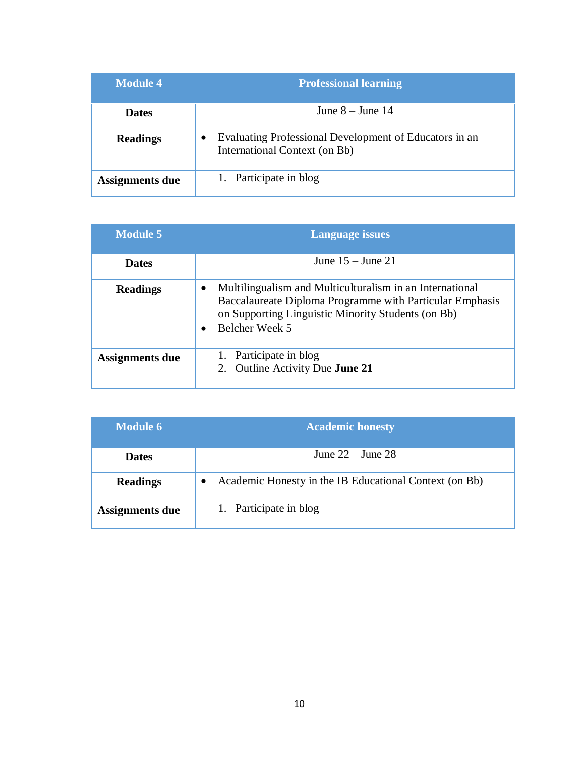| <b>Module 4</b>        | <b>Professional learning</b>                                                            |
|------------------------|-----------------------------------------------------------------------------------------|
| <b>Dates</b>           | June $8 -$ June 14                                                                      |
| <b>Readings</b>        | Evaluating Professional Development of Educators in an<br>International Context (on Bb) |
| <b>Assignments due</b> | 1. Participate in blog                                                                  |

| <b>Module 5</b>        | <b>Language issues</b>                                                                                                                                                                       |
|------------------------|----------------------------------------------------------------------------------------------------------------------------------------------------------------------------------------------|
| <b>Dates</b>           | June $15 -$ June $21$                                                                                                                                                                        |
| <b>Readings</b>        | Multilingualism and Multiculturalism in an International<br>Baccalaureate Diploma Programme with Particular Emphasis<br>on Supporting Linguistic Minority Students (on Bb)<br>Belcher Week 5 |
| <b>Assignments due</b> | Participate in blog<br>1.<br>Outline Activity Due <b>June 21</b><br>2.                                                                                                                       |

| <b>Module 6</b>        | <b>Academic honesty</b>                                |
|------------------------|--------------------------------------------------------|
| <b>Dates</b>           | June $22 -$ June $28$                                  |
| <b>Readings</b>        | Academic Honesty in the IB Educational Context (on Bb) |
| <b>Assignments due</b> | 1. Participate in blog                                 |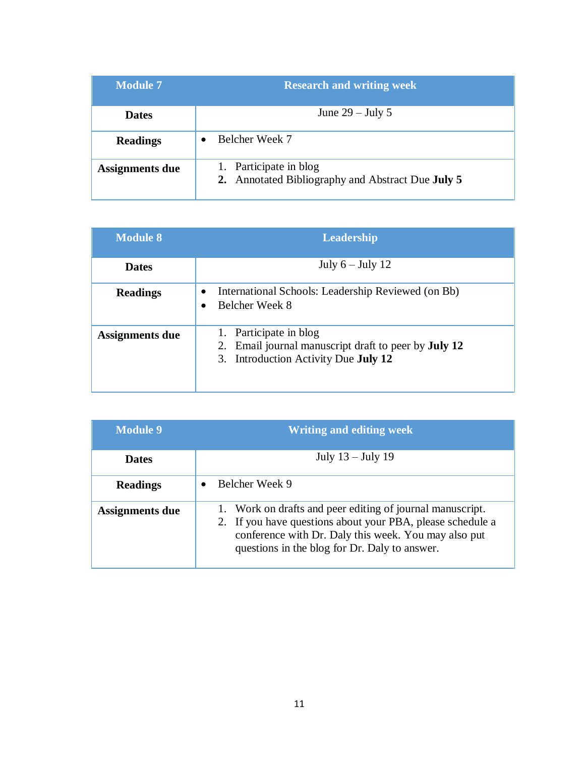| <b>Module 7</b>        | <b>Research and writing week</b>                                            |
|------------------------|-----------------------------------------------------------------------------|
| <b>Dates</b>           | June $29$ – July 5                                                          |
| <b>Readings</b>        | Belcher Week 7                                                              |
| <b>Assignments due</b> | 1. Participate in blog<br>2. Annotated Bibliography and Abstract Due July 5 |

| <b>Module 8</b>        | <b>Leadership</b>                                                                                                                          |
|------------------------|--------------------------------------------------------------------------------------------------------------------------------------------|
| <b>Dates</b>           | July $6 -$ July 12                                                                                                                         |
| <b>Readings</b>        | International Schools: Leadership Reviewed (on Bb)<br>Belcher Week 8                                                                       |
| <b>Assignments due</b> | Participate in blog<br>1.<br>Email journal manuscript draft to peer by <b>July 12</b><br>2.<br>3. Introduction Activity Due <b>July 12</b> |

| <b>Module 9</b> | <b>Writing and editing week</b>                                                                                                                                                                                                  |
|-----------------|----------------------------------------------------------------------------------------------------------------------------------------------------------------------------------------------------------------------------------|
| <b>Dates</b>    | July $13 -$ July 19                                                                                                                                                                                                              |
| <b>Readings</b> | Belcher Week 9                                                                                                                                                                                                                   |
| Assignments due | 1. Work on drafts and peer editing of journal manuscript.<br>2. If you have questions about your PBA, please schedule a<br>conference with Dr. Daly this week. You may also put<br>questions in the blog for Dr. Daly to answer. |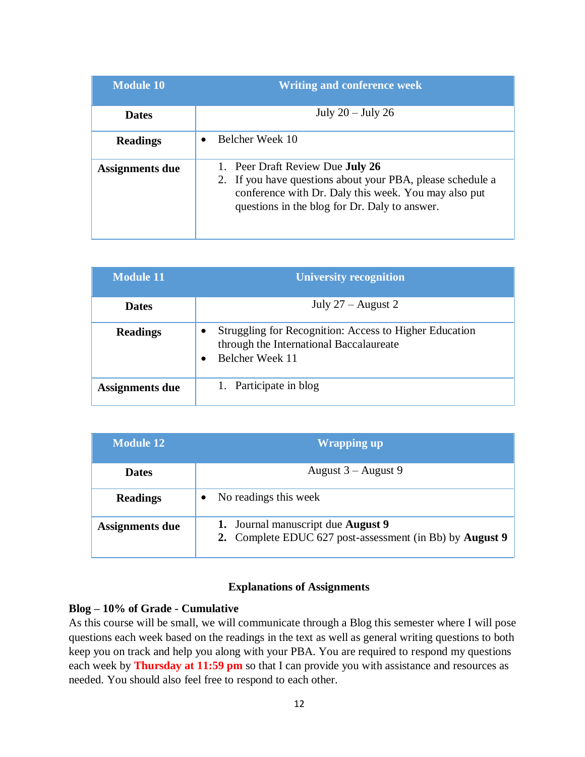| <b>Module 10</b> | <b>Writing and conference week</b>                                                                                                                                                                             |
|------------------|----------------------------------------------------------------------------------------------------------------------------------------------------------------------------------------------------------------|
| <b>Dates</b>     | July $20 -$ July $26$                                                                                                                                                                                          |
| <b>Readings</b>  | Belcher Week 10                                                                                                                                                                                                |
| Assignments due  | 1. Peer Draft Review Due <b>July 26</b><br>2. If you have questions about your PBA, please schedule a<br>conference with Dr. Daly this week. You may also put<br>questions in the blog for Dr. Daly to answer. |

| <b>Module 11</b> | <b>University recognition</b>                                                                                        |
|------------------|----------------------------------------------------------------------------------------------------------------------|
| <b>Dates</b>     | July $27 -$ August 2                                                                                                 |
| <b>Readings</b>  | Struggling for Recognition: Access to Higher Education<br>through the International Baccalaureate<br>Belcher Week 11 |
| Assignments due  | 1. Participate in blog                                                                                               |

| <b>Module 12</b>       | <b>Wrapping up</b>                                                                                    |
|------------------------|-------------------------------------------------------------------------------------------------------|
| <b>Dates</b>           | August $3 -$ August 9                                                                                 |
| <b>Readings</b>        | No readings this week                                                                                 |
| <b>Assignments due</b> | 1. Journal manuscript due <b>August 9</b><br>2. Complete EDUC 627 post-assessment (in Bb) by August 9 |

#### **Explanations of Assignments**

#### **Blog – 10% of Grade - Cumulative**

As this course will be small, we will communicate through a Blog this semester where I will pose questions each week based on the readings in the text as well as general writing questions to both keep you on track and help you along with your PBA. You are required to respond my questions each week by **Thursday at 11:59 pm** so that I can provide you with assistance and resources as needed. You should also feel free to respond to each other.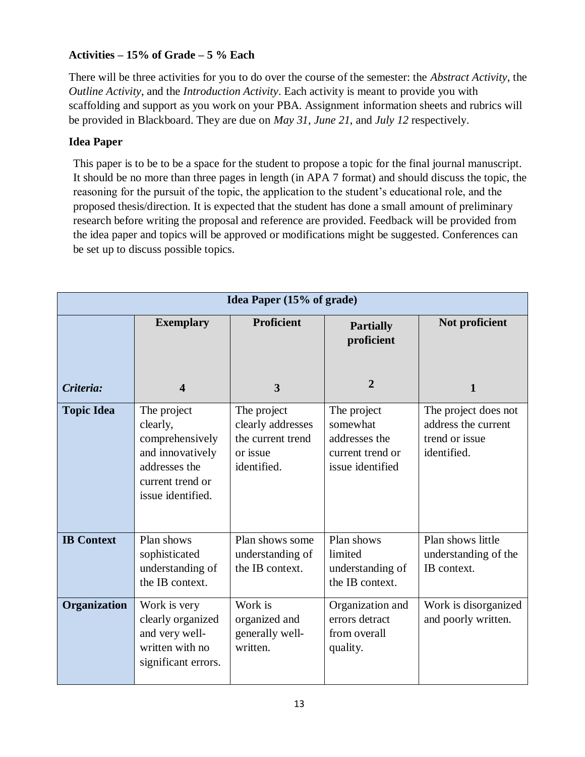# **Activities – 15% of Grade – 5 % Each**

There will be three activities for you to do over the course of the semester: the *Abstract Activity*, the *Outline Activity*, and the *Introduction Activity*. Each activity is meant to provide you with scaffolding and support as you work on your PBA. Assignment information sheets and rubrics will be provided in Blackboard. They are due on *May 31*, *June 21*, and *July 12* respectively.

## **Idea Paper**

This paper is to be to be a space for the student to propose a topic for the final journal manuscript. It should be no more than three pages in length (in APA 7 format) and should discuss the topic, the reasoning for the pursuit of the topic, the application to the student's educational role, and the proposed thesis/direction. It is expected that the student has done a small amount of preliminary research before writing the proposal and reference are provided. Feedback will be provided from the idea paper and topics will be approved or modifications might be suggested. Conferences can be set up to discuss possible topics.

|                   | <b>Idea Paper (15% of grade)</b>                                                                                         |                                                                                  |                                                                                  |                                                                              |  |
|-------------------|--------------------------------------------------------------------------------------------------------------------------|----------------------------------------------------------------------------------|----------------------------------------------------------------------------------|------------------------------------------------------------------------------|--|
|                   | <b>Exemplary</b>                                                                                                         | <b>Proficient</b>                                                                | <b>Partially</b><br>proficient                                                   | Not proficient                                                               |  |
| Criteria:         | $\overline{\mathbf{4}}$                                                                                                  | 3                                                                                | $\overline{2}$                                                                   | $\mathbf{1}$                                                                 |  |
| <b>Topic Idea</b> | The project<br>clearly,<br>comprehensively<br>and innovatively<br>addresses the<br>current trend or<br>issue identified. | The project<br>clearly addresses<br>the current trend<br>or issue<br>identified. | The project<br>somewhat<br>addresses the<br>current trend or<br>issue identified | The project does not<br>address the current<br>trend or issue<br>identified. |  |
| <b>IB Context</b> | Plan shows<br>sophisticated<br>understanding of<br>the IB context.                                                       | Plan shows some<br>understanding of<br>the IB context.                           | Plan shows<br>limited<br>understanding of<br>the IB context.                     | Plan shows little<br>understanding of the<br>IB context.                     |  |
| Organization      | Work is very<br>clearly organized<br>and very well-<br>written with no<br>significant errors.                            | Work is<br>organized and<br>generally well-<br>written.                          | Organization and<br>errors detract<br>from overall<br>quality.                   | Work is disorganized<br>and poorly written.                                  |  |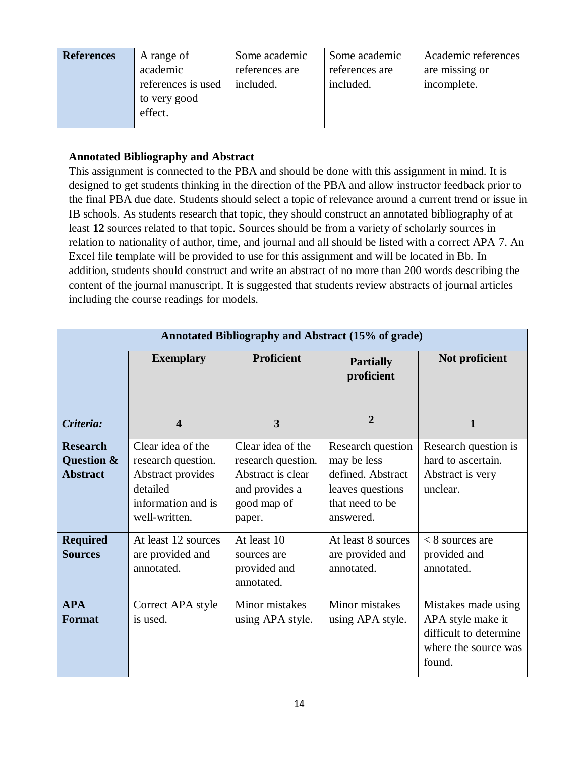| <b>References</b> | A range of         | Some academic  | Some academic  | Academic references |
|-------------------|--------------------|----------------|----------------|---------------------|
|                   | academic           | references are | references are | are missing or      |
|                   | references is used | included.      | included.      | incomplete.         |
|                   | to very good       |                |                |                     |
|                   | effect.            |                |                |                     |
|                   |                    |                |                |                     |

## **Annotated Bibliography and Abstract**

This assignment is connected to the PBA and should be done with this assignment in mind. It is designed to get students thinking in the direction of the PBA and allow instructor feedback prior to the final PBA due date. Students should select a topic of relevance around a current trend or issue in IB schools. As students research that topic, they should construct an annotated bibliography of at least **12** sources related to that topic. Sources should be from a variety of scholarly sources in relation to nationality of author, time, and journal and all should be listed with a correct APA 7. An Excel file template will be provided to use for this assignment and will be located in Bb. In addition, students should construct and write an abstract of no more than 200 words describing the content of the journal manuscript. It is suggested that students review abstracts of journal articles including the course readings for models.

| Annotated Bibliography and Abstract (15% of grade) |                                                                                                                 |                                                                                                         |                                                                                                           |                                                                                                      |
|----------------------------------------------------|-----------------------------------------------------------------------------------------------------------------|---------------------------------------------------------------------------------------------------------|-----------------------------------------------------------------------------------------------------------|------------------------------------------------------------------------------------------------------|
|                                                    | <b>Exemplary</b>                                                                                                | <b>Proficient</b>                                                                                       | <b>Partially</b><br>proficient                                                                            | Not proficient                                                                                       |
| Criteria:                                          | $\overline{\mathbf{4}}$                                                                                         | 3                                                                                                       | 2                                                                                                         | 1                                                                                                    |
| <b>Research</b><br>Question &<br><b>Abstract</b>   | Clear idea of the<br>research question.<br>Abstract provides<br>detailed<br>information and is<br>well-written. | Clear idea of the<br>research question.<br>Abstract is clear<br>and provides a<br>good map of<br>paper. | Research question<br>may be less<br>defined. Abstract<br>leaves questions<br>that need to be<br>answered. | Research question is<br>hard to ascertain.<br>Abstract is very<br>unclear.                           |
| <b>Required</b><br><b>Sources</b>                  | At least 12 sources<br>are provided and<br>annotated.                                                           | At least 10<br>sources are<br>provided and<br>annotated.                                                | At least 8 sources<br>are provided and<br>annotated.                                                      | $< 8$ sources are<br>provided and<br>annotated.                                                      |
| <b>APA</b><br><b>Format</b>                        | Correct APA style<br>is used.                                                                                   | Minor mistakes<br>using APA style.                                                                      | Minor mistakes<br>using APA style.                                                                        | Mistakes made using<br>APA style make it<br>difficult to determine<br>where the source was<br>found. |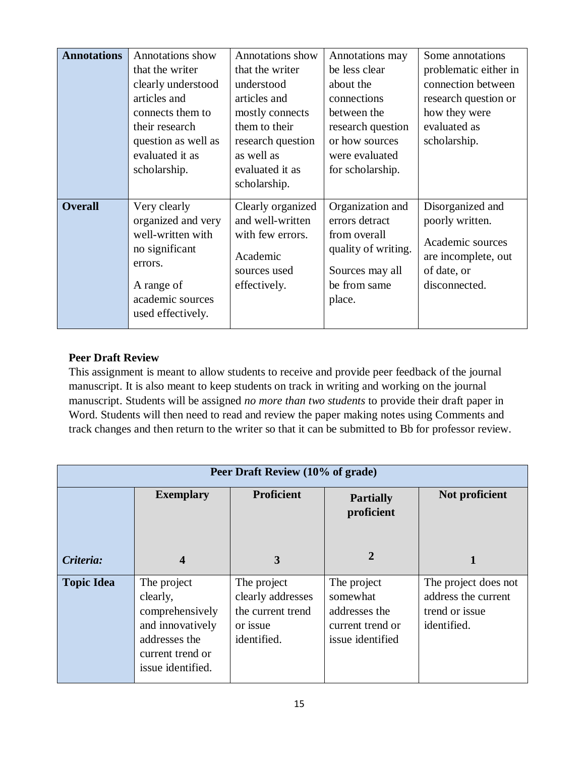| <b>Annotations</b> | Annotations show<br>that the writer<br>clearly understood<br>articles and<br>connects them to<br>their research<br>question as well as<br>evaluated it as<br>scholarship. | <b>Annotations</b> show<br>that the writer<br>understood<br>articles and<br>mostly connects<br>them to their<br>research question<br>as well as<br>evaluated it as<br>scholarship. | Annotations may<br>be less clear<br>about the<br>connections<br>between the<br>research question<br>or how sources<br>were evaluated<br>for scholarship. | Some annotations<br>problematic either in<br>connection between<br>research question or<br>how they were<br>evaluated as<br>scholarship. |
|--------------------|---------------------------------------------------------------------------------------------------------------------------------------------------------------------------|------------------------------------------------------------------------------------------------------------------------------------------------------------------------------------|----------------------------------------------------------------------------------------------------------------------------------------------------------|------------------------------------------------------------------------------------------------------------------------------------------|
| <b>Overall</b>     | Very clearly<br>organized and very<br>well-written with<br>no significant<br>errors.<br>A range of<br>academic sources<br>used effectively.                               | Clearly organized<br>and well-written<br>with few errors.<br>Academic<br>sources used<br>effectively.                                                                              | Organization and<br>errors detract<br>from overall<br>quality of writing.<br>Sources may all<br>be from same<br>place.                                   | Disorganized and<br>poorly written.<br>Academic sources<br>are incomplete, out<br>of date, or<br>disconnected.                           |

## **Peer Draft Review**

This assignment is meant to allow students to receive and provide peer feedback of the journal manuscript. It is also meant to keep students on track in writing and working on the journal manuscript. Students will be assigned *no more than two students* to provide their draft paper in Word. Students will then need to read and review the paper making notes using Comments and track changes and then return to the writer so that it can be submitted to Bb for professor review.

| Peer Draft Review (10% of grade) |                                                                                                                          |                                                                                  |                                                                                  |                                                                              |
|----------------------------------|--------------------------------------------------------------------------------------------------------------------------|----------------------------------------------------------------------------------|----------------------------------------------------------------------------------|------------------------------------------------------------------------------|
|                                  | <b>Exemplary</b>                                                                                                         | <b>Proficient</b>                                                                | <b>Partially</b><br>proficient                                                   | Not proficient                                                               |
| Criteria:                        | 4                                                                                                                        | 3                                                                                | 2                                                                                |                                                                              |
| <b>Topic Idea</b>                | The project<br>clearly,<br>comprehensively<br>and innovatively<br>addresses the<br>current trend or<br>issue identified. | The project<br>clearly addresses<br>the current trend<br>or issue<br>identified. | The project<br>somewhat<br>addresses the<br>current trend or<br>issue identified | The project does not<br>address the current<br>trend or issue<br>identified. |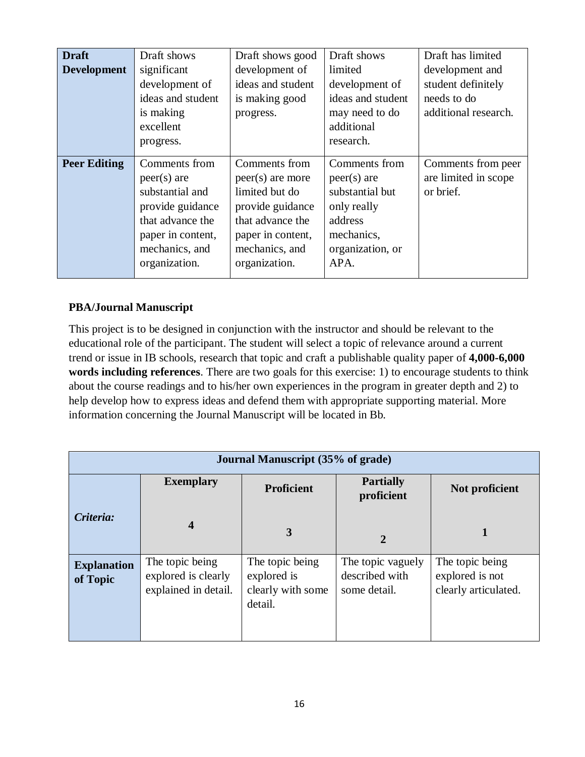| <b>Draft</b><br><b>Development</b> | Draft shows<br>significant<br>development of<br>ideas and student<br>is making<br>excellent<br>progress.                                          | Draft shows good<br>development of<br>ideas and student<br>is making good<br>progress.                                                                | Draft shows<br>limited<br>development of<br>ideas and student<br>may need to do<br>additional<br>research.            | Draft has limited<br>development and<br>student definitely<br>needs to do<br>additional research. |
|------------------------------------|---------------------------------------------------------------------------------------------------------------------------------------------------|-------------------------------------------------------------------------------------------------------------------------------------------------------|-----------------------------------------------------------------------------------------------------------------------|---------------------------------------------------------------------------------------------------|
| <b>Peer Editing</b>                | Comments from<br>$peer(s)$ are<br>substantial and<br>provide guidance<br>that advance the<br>paper in content,<br>mechanics, and<br>organization. | Comments from<br>$peer(s)$ are more<br>limited but do<br>provide guidance<br>that advance the<br>paper in content,<br>mechanics, and<br>organization. | Comments from<br>$peer(s)$ are<br>substantial but<br>only really<br>address<br>mechanics,<br>organization, or<br>APA. | Comments from peer<br>are limited in scope<br>or brief.                                           |

# **PBA/Journal Manuscript**

This project is to be designed in conjunction with the instructor and should be relevant to the educational role of the participant. The student will select a topic of relevance around a current trend or issue in IB schools, research that topic and craft a publishable quality paper of **4,000-6,000 words including references**. There are two goals for this exercise: 1) to encourage students to think about the course readings and to his/her own experiences in the program in greater depth and 2) to help develop how to express ideas and defend them with appropriate supporting material. More information concerning the Journal Manuscript will be located in Bb.

| <b>Journal Manuscript</b> (35% of grade) |                                                                |                                                                |                                                     |                                                            |
|------------------------------------------|----------------------------------------------------------------|----------------------------------------------------------------|-----------------------------------------------------|------------------------------------------------------------|
|                                          | <b>Exemplary</b>                                               | <b>Proficient</b>                                              | <b>Partially</b><br>proficient                      | Not proficient                                             |
| Criteria:                                | $\overline{\mathbf{4}}$                                        | 3                                                              | $\overline{2}$                                      |                                                            |
| <b>Explanation</b><br>of Topic           | The topic being<br>explored is clearly<br>explained in detail. | The topic being<br>explored is<br>clearly with some<br>detail. | The topic vaguely<br>described with<br>some detail. | The topic being<br>explored is not<br>clearly articulated. |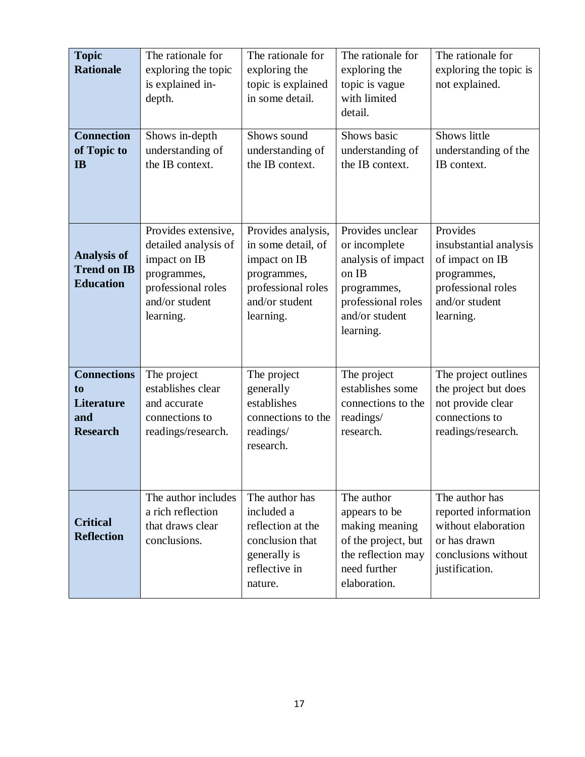| <b>Topic</b><br><b>Rationale</b>                                        | The rationale for<br>exploring the topic<br>is explained in-<br>depth.                                                          | The rationale for<br>exploring the<br>topic is explained<br>in some detail.                                                  | The rationale for<br>exploring the<br>topic is vague<br>with limited<br>detail.                                                      | The rationale for<br>exploring the topic is<br>not explained.                                                             |
|-------------------------------------------------------------------------|---------------------------------------------------------------------------------------------------------------------------------|------------------------------------------------------------------------------------------------------------------------------|--------------------------------------------------------------------------------------------------------------------------------------|---------------------------------------------------------------------------------------------------------------------------|
| <b>Connection</b><br>of Topic to<br><b>IB</b>                           | Shows in-depth<br>understanding of<br>the IB context.                                                                           | Shows sound<br>understanding of<br>the IB context.                                                                           | Shows basic<br>understanding of<br>the IB context.                                                                                   | Shows little<br>understanding of the<br>IB context.                                                                       |
| <b>Analysis of</b><br><b>Trend on IB</b><br><b>Education</b>            | Provides extensive,<br>detailed analysis of<br>impact on IB<br>programmes,<br>professional roles<br>and/or student<br>learning. | Provides analysis,<br>in some detail, of<br>impact on IB<br>programmes,<br>professional roles<br>and/or student<br>learning. | Provides unclear<br>or incomplete<br>analysis of impact<br>on IB<br>programmes,<br>professional roles<br>and/or student<br>learning. | Provides<br>insubstantial analysis<br>of impact on IB<br>programmes,<br>professional roles<br>and/or student<br>learning. |
| <b>Connections</b><br>to<br><b>Literature</b><br>and<br><b>Research</b> | The project<br>establishes clear<br>and accurate<br>connections to<br>readings/research.                                        | The project<br>generally<br>establishes<br>connections to the<br>readings/<br>research.                                      | The project<br>establishes some<br>connections to the<br>readings/<br>research.                                                      | The project outlines<br>the project but does<br>not provide clear<br>connections to<br>readings/research.                 |
| <b>Critical</b><br><b>Reflection</b>                                    | The author includes<br>a rich reflection<br>that draws clear<br>conclusions.                                                    | The author has<br>included a<br>reflection at the<br>conclusion that<br>generally is<br>reflective in<br>nature.             | The author<br>appears to be<br>making meaning<br>of the project, but<br>the reflection may<br>need further<br>elaboration.           | The author has<br>reported information<br>without elaboration<br>or has drawn<br>conclusions without<br>justification.    |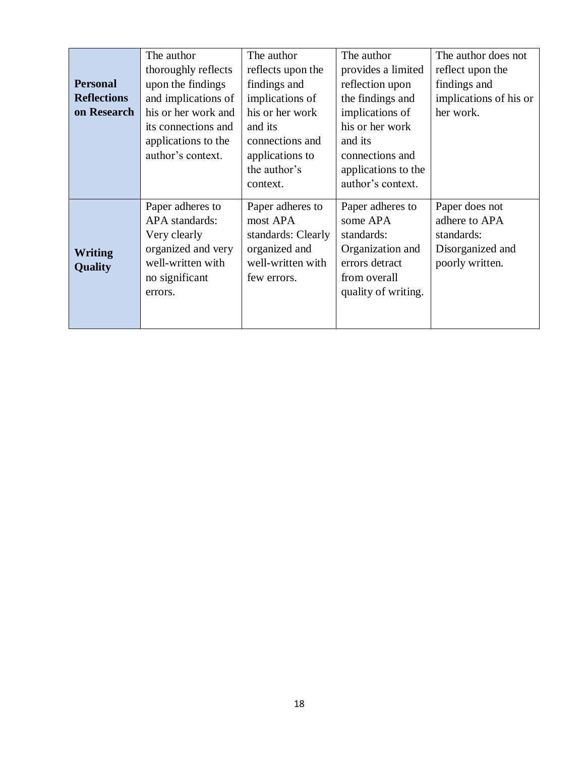| <b>Personal</b><br><b>Reflections</b><br>on Research | The author<br>thoroughly reflects<br>upon the findings<br>and implications of<br>his or her work and<br>its connections and<br>applications to the<br>author's context. | The author<br>reflects upon the<br>findings and<br>implications of<br>his or her work<br>and its<br>connections and<br>applications to<br>the author's<br>context. | The author<br>provides a limited<br>reflection upon<br>the findings and<br>implications of<br>his or her work<br>and its<br>connections and<br>applications to the<br>author's context. | The author does not<br>reflect upon the<br>findings and<br>implications of his or<br>her work. |
|------------------------------------------------------|-------------------------------------------------------------------------------------------------------------------------------------------------------------------------|--------------------------------------------------------------------------------------------------------------------------------------------------------------------|-----------------------------------------------------------------------------------------------------------------------------------------------------------------------------------------|------------------------------------------------------------------------------------------------|
| <b>Writing</b><br>Quality                            | Paper adheres to<br>APA standards:<br>Very clearly<br>organized and very<br>well-written with<br>no significant<br>errors.                                              | Paper adheres to<br>most APA<br>standards: Clearly<br>organized and<br>well-written with<br>few errors.                                                            | Paper adheres to<br>some APA<br>standards:<br>Organization and<br>errors detract<br>from overall<br>quality of writing.                                                                 | Paper does not<br>adhere to APA<br>standards:<br>Disorganized and<br>poorly written.           |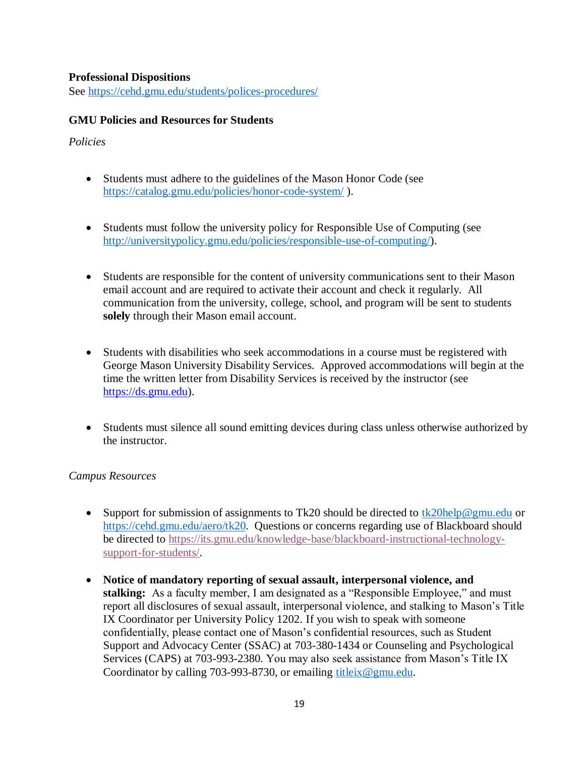#### **Professional Dispositions**

See<https://cehd.gmu.edu/students/polices-procedures/>

#### **GMU Policies and Resources for Students**

#### *Policies*

- Students must adhere to the guidelines of the Mason Honor Code (see <https://catalog.gmu.edu/policies/honor-code-system/> ).
- Students must follow the university policy for Responsible Use of Computing (see [http://universitypolicy.gmu.edu/policies/responsible-use-of-computing/\)](http://universitypolicy.gmu.edu/policies/responsible-use-of-computing/).
- Students are responsible for the content of university communications sent to their Mason email account and are required to activate their account and check it regularly. All communication from the university, college, school, and program will be sent to students **solely** through their Mason email account.
- Students with disabilities who seek accommodations in a course must be registered with George Mason University Disability Services. Approved accommodations will begin at the time the written letter from Disability Services is received by the instructor (see [https://ds.gmu.edu\)](https://ds.gmu.edu/).
- Students must silence all sound emitting devices during class unless otherwise authorized by the instructor.

## *Campus Resources*

- Support for submission of assignments to Tk20 should be directed to [tk20help@gmu.edu](mailto:tk20help@gmu.edu) or [https://cehd.gmu.edu/aero/tk20.](https://cehd.gmu.edu/aero/tk20) Questions or concerns regarding use of Blackboard should be directed to [https://its.gmu.edu/knowledge-base/blackboard-instructional-technology](https://its.gmu.edu/knowledge-base/blackboard-instructional-technology-support-for-students/)[support-for-students/.](https://its.gmu.edu/knowledge-base/blackboard-instructional-technology-support-for-students/)
- **Notice of mandatory reporting of sexual assault, interpersonal violence, and stalking:** As a faculty member, I am designated as a "Responsible Employee," and must report all disclosures of sexual assault, interpersonal violence, and stalking to Mason's Title IX Coordinator per University Policy 1202. If you wish to speak with someone confidentially, please contact one of Mason's confidential resources, such as Student Support and Advocacy Center (SSAC) at 703-380-1434 or Counseling and Psychological Services (CAPS) at 703-993-2380. You may also seek assistance from Mason's Title IX Coordinator by calling 703-993-8730, or emailing [titleix@gmu.edu.](mailto:titleix@gmu.edu)